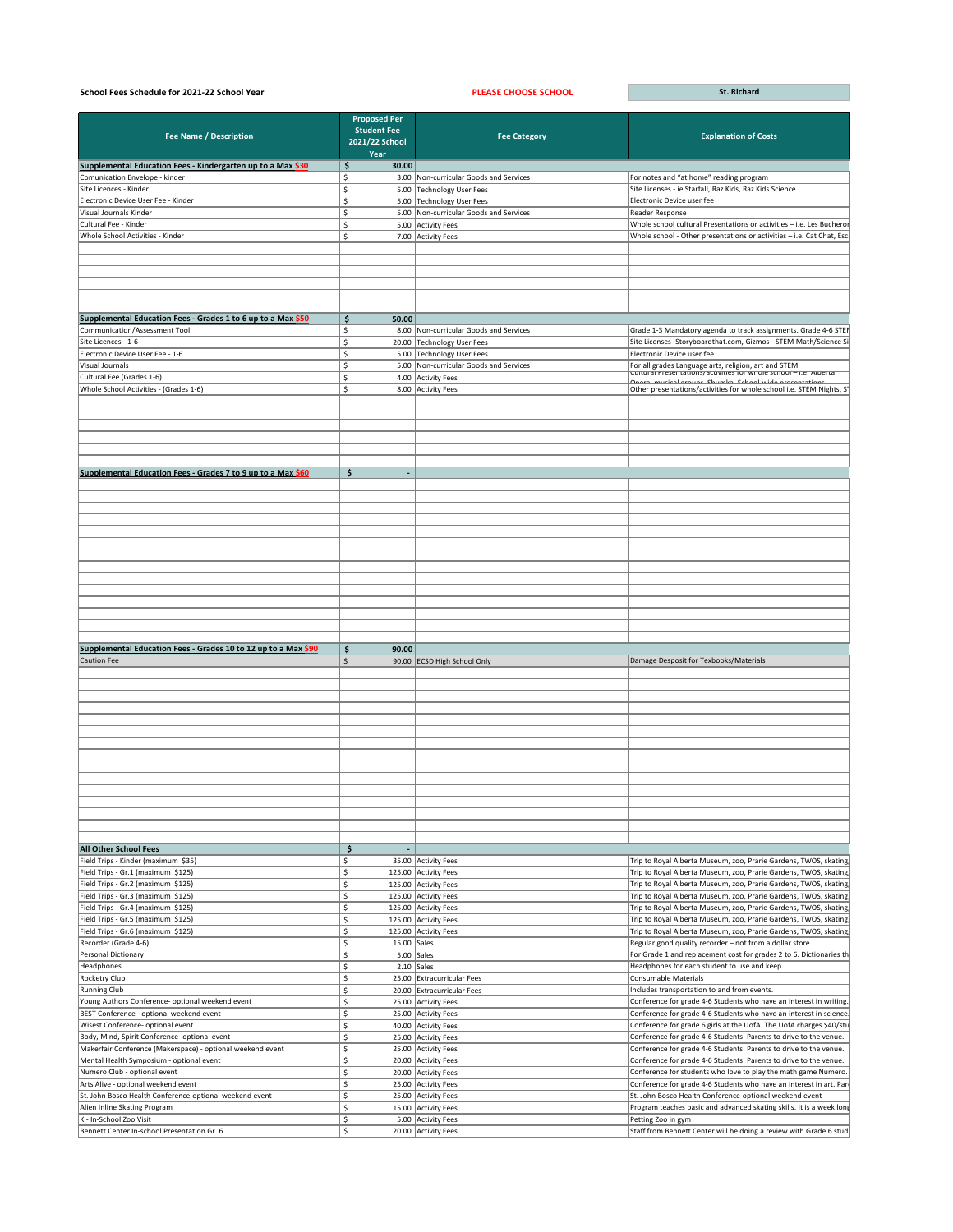| School Fees Schedule for 2021-22 School Year                   |                                              | <b>PLEASE CHOOSE SCHOOL</b>            | <b>St. Richard</b>                                                                                                           |
|----------------------------------------------------------------|----------------------------------------------|----------------------------------------|------------------------------------------------------------------------------------------------------------------------------|
|                                                                | <b>Proposed Per</b>                          |                                        |                                                                                                                              |
| <b>Fee Name / Description</b>                                  | <b>Student Fee</b><br>2021/22 School<br>Year | <b>Fee Category</b>                    | <b>Explanation of Costs</b>                                                                                                  |
| Supplemental Education Fees - Kindergarten up to a Max \$30    | \$<br>30.00                                  |                                        |                                                                                                                              |
| Comunication Envelope - kinder                                 |                                              | 3.00 Non-curricular Goods and Services | For notes and "at home" reading program                                                                                      |
| Site Licences - Kinder                                         |                                              | 5.00 Technology User Fees              | Site Licenses - ie Starfall, Raz Kids, Raz Kids Science                                                                      |
| Electronic Device User Fee - Kinder                            |                                              | 5.00 Technology User Fees              | Electronic Device user fee                                                                                                   |
| Visual Journals Kinder                                         |                                              | 5.00 Non-curricular Goods and Services | Reader Response                                                                                                              |
| Cultural Fee - Kinder                                          |                                              | 5.00 Activity Fees                     | Whole school cultural Presentations or activities - i.e. Les Bucheror                                                        |
| Whole School Activities - Kinder                               | Ś.                                           | 7.00 Activity Fees                     | Whole school - Other presentations or activities - i.e. Cat Chat, Esc                                                        |
|                                                                |                                              |                                        |                                                                                                                              |
|                                                                |                                              |                                        |                                                                                                                              |
| Supplemental Education Fees - Grades 1 to 6 up to a Max \$50   | 50.00<br>S                                   |                                        |                                                                                                                              |
| Communication/Assessment Tool                                  |                                              | 8.00 Non-curricular Goods and Services | Grade 1-3 Mandatory agenda to track assignments. Grade 4-6 STEN                                                              |
| Site Licences - 1-6                                            |                                              | 20.00 Technology User Fees             | Site Licenses -Storyboardthat.com, Gizmos - STEM Math/Science Si                                                             |
| Electronic Device User Fee - 1-6                               |                                              | 5.00 Technology User Fees              | Electronic Device user fee                                                                                                   |
| Visual Journals                                                |                                              |                                        |                                                                                                                              |
|                                                                |                                              | 5.00 Non-curricular Goods and Services | For all grades Language arts, religion, art and STEM<br>$c$ untural Presentations/activities for whole school – i.e. Alberta |
| Cultural Fee (Grades 1-6)                                      |                                              | 4.00 Activity Fees                     | <u>Onora mucical groupe Chumka Cebool wido procontatione</u>                                                                 |
| Whole School Activities - (Grades 1-6)                         | Ś                                            | 8.00 Activity Fees                     | Other presentations/activities for whole school i.e. STEM Nights, S1                                                         |
|                                                                |                                              |                                        |                                                                                                                              |
|                                                                |                                              |                                        |                                                                                                                              |
|                                                                |                                              |                                        |                                                                                                                              |
| Supplemental Education Fees - Grades 7 to 9 up to a Max \$60   | \$                                           |                                        |                                                                                                                              |
|                                                                |                                              |                                        |                                                                                                                              |
|                                                                |                                              |                                        |                                                                                                                              |
|                                                                |                                              |                                        |                                                                                                                              |
|                                                                |                                              |                                        |                                                                                                                              |
|                                                                |                                              |                                        |                                                                                                                              |
|                                                                |                                              |                                        |                                                                                                                              |
|                                                                |                                              |                                        |                                                                                                                              |
|                                                                |                                              |                                        |                                                                                                                              |
|                                                                |                                              |                                        |                                                                                                                              |
|                                                                |                                              |                                        |                                                                                                                              |
|                                                                |                                              |                                        |                                                                                                                              |
|                                                                |                                              |                                        |                                                                                                                              |
|                                                                |                                              |                                        |                                                                                                                              |
|                                                                |                                              |                                        |                                                                                                                              |
|                                                                |                                              |                                        |                                                                                                                              |
|                                                                |                                              |                                        |                                                                                                                              |
| Supplemental Education Fees - Grades 10 to 12 up to a Max \$90 | \$<br>90.00                                  |                                        |                                                                                                                              |
| <b>Caution Fee</b>                                             | \$                                           | 90.00 ECSD High School Only            | Damage Desposit for Texbooks/Materials                                                                                       |
|                                                                |                                              |                                        |                                                                                                                              |
|                                                                |                                              |                                        |                                                                                                                              |
|                                                                |                                              |                                        |                                                                                                                              |
|                                                                |                                              |                                        |                                                                                                                              |
|                                                                |                                              |                                        |                                                                                                                              |
|                                                                |                                              |                                        |                                                                                                                              |
|                                                                |                                              |                                        |                                                                                                                              |
|                                                                |                                              |                                        |                                                                                                                              |
|                                                                |                                              |                                        |                                                                                                                              |
|                                                                |                                              |                                        |                                                                                                                              |
|                                                                |                                              |                                        |                                                                                                                              |
|                                                                |                                              |                                        |                                                                                                                              |
|                                                                |                                              |                                        |                                                                                                                              |
|                                                                |                                              |                                        |                                                                                                                              |
|                                                                |                                              |                                        |                                                                                                                              |
|                                                                |                                              |                                        |                                                                                                                              |
| <b>All Other School Fees</b>                                   | \$                                           |                                        |                                                                                                                              |
|                                                                |                                              |                                        |                                                                                                                              |
| Field Trips - Kinder (maximum \$35)                            |                                              | 35.00 Activity Fees                    | Trip to Royal Alberta Museum, zoo, Prarie Gardens, TWOS, skating,                                                            |
| Field Trips - Gr.1 (maximum \$125)                             | Ś.                                           | 125.00 Activity Fees                   | Trip to Royal Alberta Museum, zoo, Prarie Gardens, TWOS, skating                                                             |
| Field Trips - Gr.2 (maximum \$125)                             | Ś                                            | 125.00 Activity Fees                   | Trip to Royal Alberta Museum, zoo, Prarie Gardens, TWOS, skating,                                                            |
| Field Trips - Gr.3 (maximum \$125)                             |                                              | 125.00 Activity Fees                   | Trip to Royal Alberta Museum, zoo, Prarie Gardens, TWOS, skating                                                             |
| Field Trips - Gr.4 (maximum \$125)                             |                                              | 125.00 Activity Fees                   | Trip to Royal Alberta Museum, zoo, Prarie Gardens, TWOS, skating                                                             |
| Field Trips - Gr.5 (maximum \$125)                             |                                              | 125.00 Activity Fees                   | Trip to Royal Alberta Museum, zoo, Prarie Gardens, TWOS, skating,                                                            |
| Field Trips - Gr.6 (maximum \$125)                             |                                              | 125.00 Activity Fees                   | Trip to Royal Alberta Museum, zoo, Prarie Gardens, TWOS, skating                                                             |
| Recorder (Grade 4-6)                                           |                                              | $15.00$ Sales                          | Regular good quality recorder - not from a dollar store                                                                      |
|                                                                | \$                                           |                                        | For Grade 1 and replacement cost for grades 2 to 6. Dictionaries th                                                          |
| Personal Dictionary                                            |                                              | $5.00$ Sales                           |                                                                                                                              |
| Headphones                                                     | Ś.                                           | $2.10$ Sales                           | Headphones for each student to use and keep.                                                                                 |
| Rocketry Club                                                  | Ś.                                           | 25.00 Extracurricular Fees             | Consumable Materials                                                                                                         |
| <b>Running Club</b>                                            |                                              | 20.00 Extracurricular Fees             | Includes transportation to and from events.                                                                                  |
| Young Authors Conference- optional weekend event               |                                              | 25.00 Activity Fees                    | Conference for grade 4-6 Students who have an interest in writing.                                                           |
| BEST Conference - optional weekend event                       |                                              | 25.00 Activity Fees                    | Conference for grade 4-6 Students who have an interest in science.                                                           |
| Wisest Conference- optional event                              |                                              | 40.00 Activity Fees                    | Conference for grade 6 girls at the UofA. The UofA charges \$40/stu                                                          |
| Body, Mind, Spirit Conference- optional event                  |                                              | 25.00 Activity Fees                    | Conference for grade 4-6 Students. Parents to drive to the venue.                                                            |
|                                                                |                                              |                                        |                                                                                                                              |
| Makerfair Conference (Makerspace) - optional weekend event     |                                              | 25.00 Activity Fees                    | Conference for grade 4-6 Students. Parents to drive to the venue.                                                            |
| Mental Health Symposium - optional event                       |                                              | 20.00 Activity Fees                    | Conference for grade 4-6 Students. Parents to drive to the venue.                                                            |
| Numero Club - optional event                                   |                                              | 20.00 Activity Fees                    | Conference for students who love to play the math game Numero.                                                               |
| Arts Alive - optional weekend event                            |                                              | 25.00 Activity Fees                    | Conference for grade 4-6 Students who have an interest in art. Pare                                                          |
| St. John Bosco Health Conference-optional weekend event        |                                              | 25.00 Activity Fees                    | St. John Bosco Health Conference-optional weekend event                                                                      |
| Alien Inline Skating Program                                   | Ś                                            | 15.00 Activity Fees                    | Program teaches basic and advanced skating skills. It is a week long                                                         |
| K - In-School Zoo Visit                                        |                                              | 5.00 Activity Fees                     | Petting Zoo in gym                                                                                                           |
|                                                                |                                              |                                        |                                                                                                                              |
| Bennett Center In-school Presentation Gr. 6                    | \$                                           | 20.00 Activity Fees                    | Staff from Bennett Center will be doing a review with Grade 6 stud                                                           |